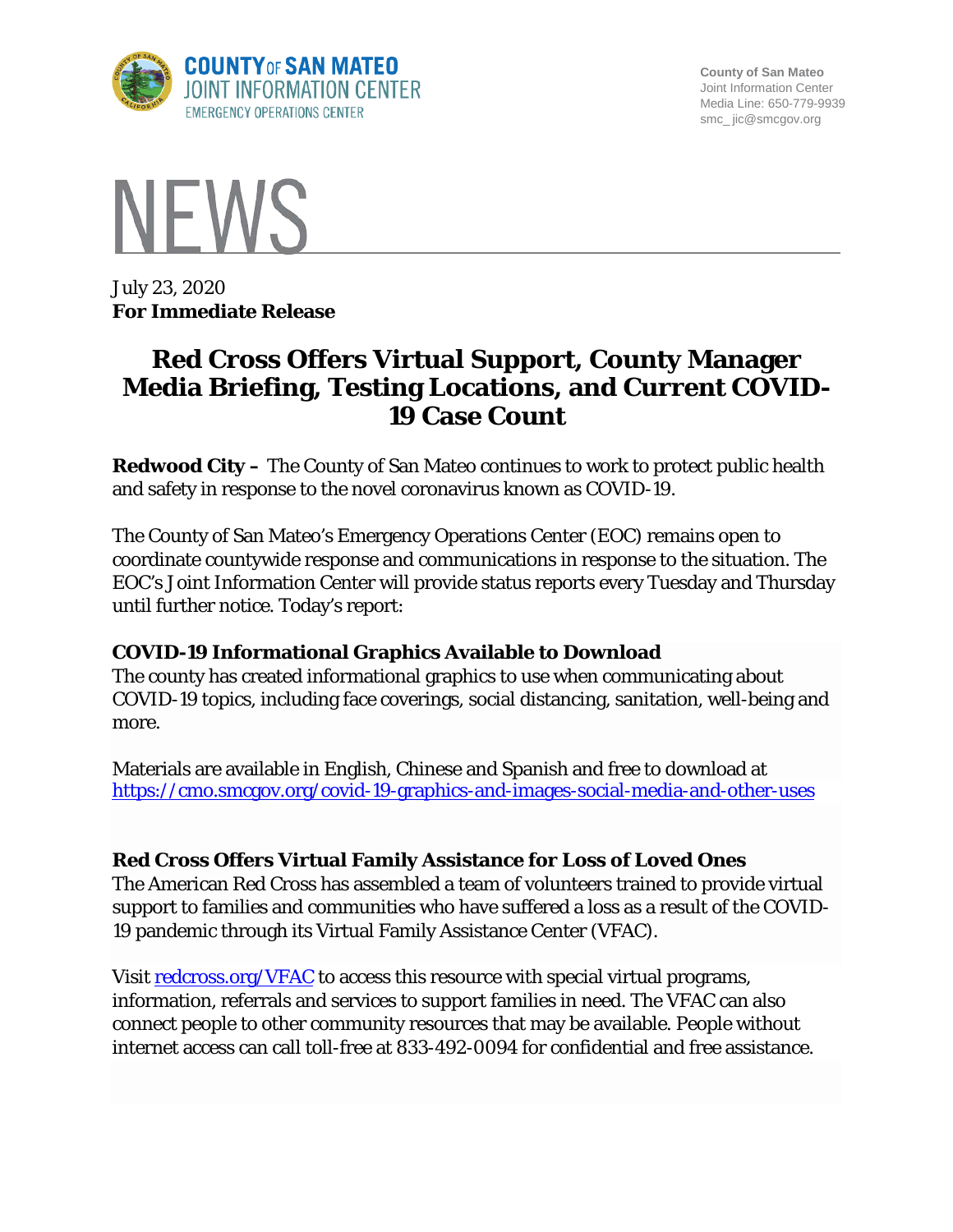

**County of San Mateo** Joint Information Center Media Line: 650-779-9939 smc\_ jic@smcgov.org



July 23, 2020 **For Immediate Release**

# **Red Cross Offers Virtual Support, County Manager Media Briefing, Testing Locations, and Current COVID-19 Case Count**

**Redwood City –** The County of San Mateo continues to work to protect public health and safety in response to the novel coronavirus known as COVID-19.

The County of San Mateo's Emergency Operations Center (EOC) remains open to coordinate countywide response and communications in response to the situation. The EOC's Joint Information Center will provide status reports every Tuesday and Thursday until further notice. Today's report:

# **COVID-19 Informational Graphics Available to Download**

The county has created informational graphics to use when communicating about COVID-19 topics, including face coverings, social distancing, sanitation, well-being and more.

Materials are available in English, Chinese and Spanish and free to download at <https://cmo.smcgov.org/covid-19-graphics-and-images-social-media-and-other-uses>

# **Red Cross Offers Virtual Family Assistance for Loss of Loved Ones**

The American Red Cross has assembled a team of volunteers trained to provide virtual support to families and communities who have suffered a loss as a result of the COVID-19 pandemic through its Virtual Family Assistance Center (VFAC).

Visit [redcross.org/VFAC](https://www.redcross.org/virtual-family-assistance-center.html) to access this resource with special virtual programs, information, referrals and services to support families in need. The VFAC can also connect people to other community resources that may be available. People without internet access can call toll-free at 833-492-0094 for confidential and free assistance.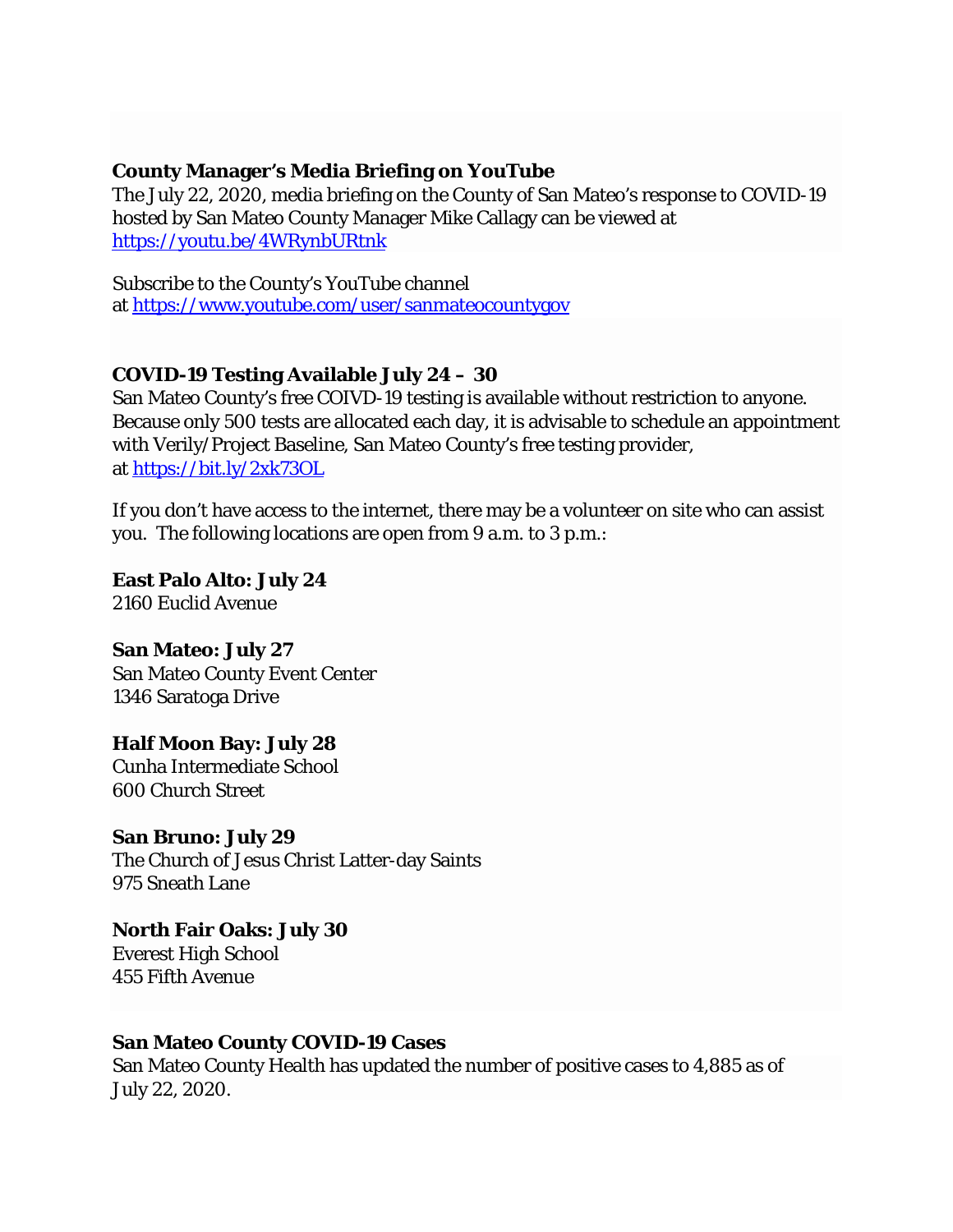#### **County Manager's Media Briefing on YouTube**

The July 22, 2020, media briefing on the County of San Mateo's response to COVID-19 hosted by San Mateo County Manager Mike Callagy can be viewed at <https://youtu.be/4WRynbURtnk>

Subscribe to the County's YouTube channel at <https://www.youtube.com/user/sanmateocountygov>

## **COVID-19 Testing Available July 24 – 30**

San Mateo County's free COIVD-19 testing is available without restriction to anyone. Because only 500 tests are allocated each day, it is advisable to schedule an appointment with Verily/Project Baseline, San Mateo County's free testing provider, at <https://bit.ly/2xk73OL>

If you don't have access to the internet, there may be a volunteer on site who can assist you. The following locations are open from 9 a.m. to 3 p.m.:

**East Palo Alto: July 24** 2160 Euclid Avenue

**San Mateo: July 27** San Mateo County Event Center 1346 Saratoga Drive

**Half Moon Bay: July 28** Cunha Intermediate School 600 Church Street

**San Bruno: July 29** The Church of Jesus Christ Latter-day Saints 975 Sneath Lane

**North Fair Oaks: July 30** Everest High School 455 Fifth Avenue

## **San Mateo County COVID-19 Cases**

San Mateo County Health has updated the number of positive cases to 4,885 as of July 22, 2020.